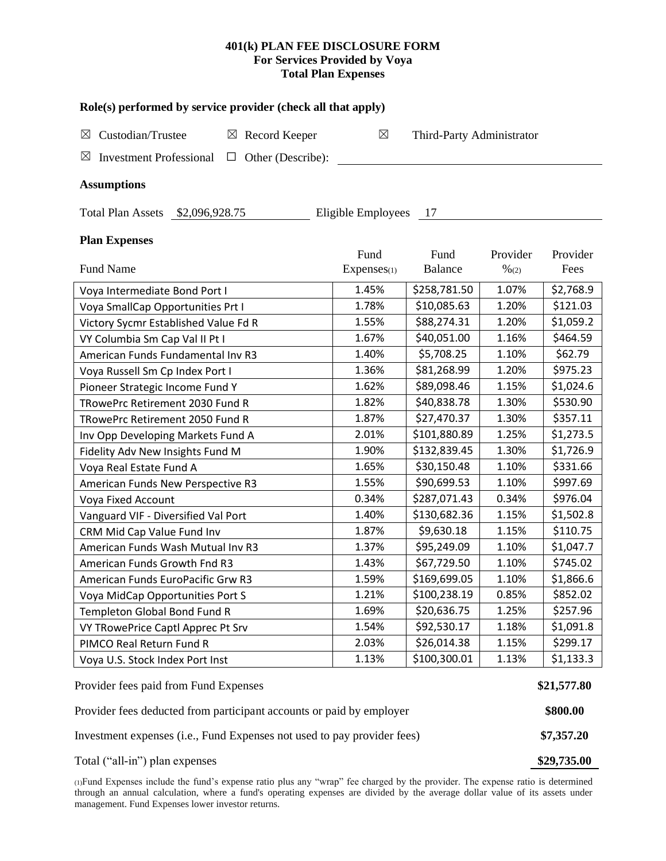## **401(k) PLAN FEE DISCLOSURE FORM For Services Provided by Voya Total Plan Expenses**

| Role(s) performed by service provider (check all that apply)                 |             |                           |          |           |  |  |  |  |  |  |
|------------------------------------------------------------------------------|-------------|---------------------------|----------|-----------|--|--|--|--|--|--|
| Custodian/Trustee<br>Record Keeper<br>$\boxtimes$<br>$\boxtimes$             | $\boxtimes$ | Third-Party Administrator |          |           |  |  |  |  |  |  |
| <b>Investment Professional</b><br>Other (Describe):<br>$\boxtimes$<br>$\Box$ |             |                           |          |           |  |  |  |  |  |  |
| <b>Assumptions</b>                                                           |             |                           |          |           |  |  |  |  |  |  |
| Eligible Employees<br>Total Plan Assets \$2,096,928.75<br>17                 |             |                           |          |           |  |  |  |  |  |  |
| <b>Plan Expenses</b>                                                         |             |                           |          |           |  |  |  |  |  |  |
|                                                                              | Fund        | Fund                      | Provider | Provider  |  |  |  |  |  |  |
| <b>Fund Name</b>                                                             | Expenses(1) | <b>Balance</b>            | % (2)    | Fees      |  |  |  |  |  |  |
| Voya Intermediate Bond Port I                                                | 1.45%       | \$258,781.50              | 1.07%    | \$2,768.9 |  |  |  |  |  |  |
| Voya SmallCap Opportunities Prt I                                            | 1.78%       | \$10,085.63               | 1.20%    | \$121.03  |  |  |  |  |  |  |
| Victory Sycmr Established Value Fd R                                         | 1.55%       | \$88,274.31               | 1.20%    | \$1,059.2 |  |  |  |  |  |  |
| VY Columbia Sm Cap Val II Pt I                                               | 1.67%       | \$40,051.00               | 1.16%    | \$464.59  |  |  |  |  |  |  |
| American Funds Fundamental Inv R3                                            | 1.40%       | \$5,708.25                | 1.10%    | \$62.79   |  |  |  |  |  |  |
| Voya Russell Sm Cp Index Port I                                              | 1.36%       | \$81,268.99               | 1.20%    | \$975.23  |  |  |  |  |  |  |
| Pioneer Strategic Income Fund Y                                              | 1.62%       | \$89,098.46               | 1.15%    | \$1,024.6 |  |  |  |  |  |  |
| TRowePrc Retirement 2030 Fund R                                              | 1.82%       | \$40,838.78               | 1.30%    | \$530.90  |  |  |  |  |  |  |
| TRowePrc Retirement 2050 Fund R                                              | 1.87%       | \$27,470.37               | 1.30%    | \$357.11  |  |  |  |  |  |  |
| Inv Opp Developing Markets Fund A                                            | 2.01%       | \$101,880.89              | 1.25%    | \$1,273.5 |  |  |  |  |  |  |
| Fidelity Adv New Insights Fund M                                             | 1.90%       | \$132,839.45              | 1.30%    | \$1,726.9 |  |  |  |  |  |  |
| Voya Real Estate Fund A                                                      | 1.65%       | \$30,150.48               | 1.10%    | \$331.66  |  |  |  |  |  |  |
| American Funds New Perspective R3                                            | 1.55%       | \$90,699.53               | 1.10%    | \$997.69  |  |  |  |  |  |  |
| Voya Fixed Account                                                           | 0.34%       | \$287,071.43              | 0.34%    | \$976.04  |  |  |  |  |  |  |
| Vanguard VIF - Diversified Val Port                                          | 1.40%       | \$130,682.36              | 1.15%    | \$1,502.8 |  |  |  |  |  |  |
| CRM Mid Cap Value Fund Inv                                                   | 1.87%       | \$9,630.18                | 1.15%    | \$110.75  |  |  |  |  |  |  |
| American Funds Wash Mutual Inv R3                                            | 1.37%       | \$95,249.09               | 1.10%    | \$1,047.7 |  |  |  |  |  |  |
| American Funds Growth Fnd R3                                                 | 1.43%       | \$67,729.50               | 1.10%    | \$745.02  |  |  |  |  |  |  |
| American Funds EuroPacific Grw R3                                            | 1.59%       | \$169,699.05              | 1.10%    | \$1,866.6 |  |  |  |  |  |  |
| Voya MidCap Opportunities Port S                                             | 1.21%       | \$100,238.19              | 0.85%    | \$852.02  |  |  |  |  |  |  |
| Templeton Global Bond Fund R                                                 | 1.69%       | \$20,636.75               | 1.25%    | \$257.96  |  |  |  |  |  |  |
| VY TRowePrice Captl Apprec Pt Srv                                            | 1.54%       | \$92,530.17               | 1.18%    | \$1,091.8 |  |  |  |  |  |  |
| PIMCO Real Return Fund R                                                     | 2.03%       | \$26,014.38               | 1.15%    | \$299.17  |  |  |  |  |  |  |
| Voya U.S. Stock Index Port Inst                                              | 1.13%       | \$100,300.01              | 1.13%    | \$1,133.3 |  |  |  |  |  |  |
| Provider fees paid from Fund Expenses                                        |             |                           |          |           |  |  |  |  |  |  |
| Provider fees deducted from participant accounts or paid by employer         |             |                           |          |           |  |  |  |  |  |  |
| Investment expenses (i.e., Fund Expenses not used to pay provider fees)      |             |                           |          |           |  |  |  |  |  |  |
| Total ("all-in") plan expenses                                               |             |                           |          |           |  |  |  |  |  |  |

(1)Fund Expenses include the fund's expense ratio plus any "wrap" fee charged by the provider. The expense ratio is determined through an annual calculation, where a fund's operating expenses are divided by the average dollar value of its assets under management. Fund Expenses lower investor returns.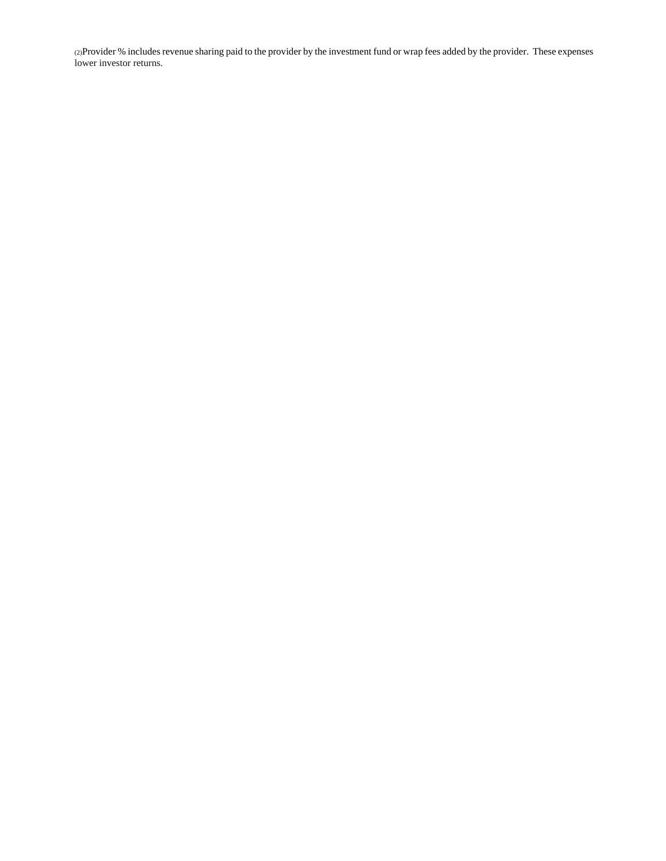(2)Provider % includes revenue sharing paid to the provider by the investment fund or wrap fees added by the provider. These expenses lower investor returns.